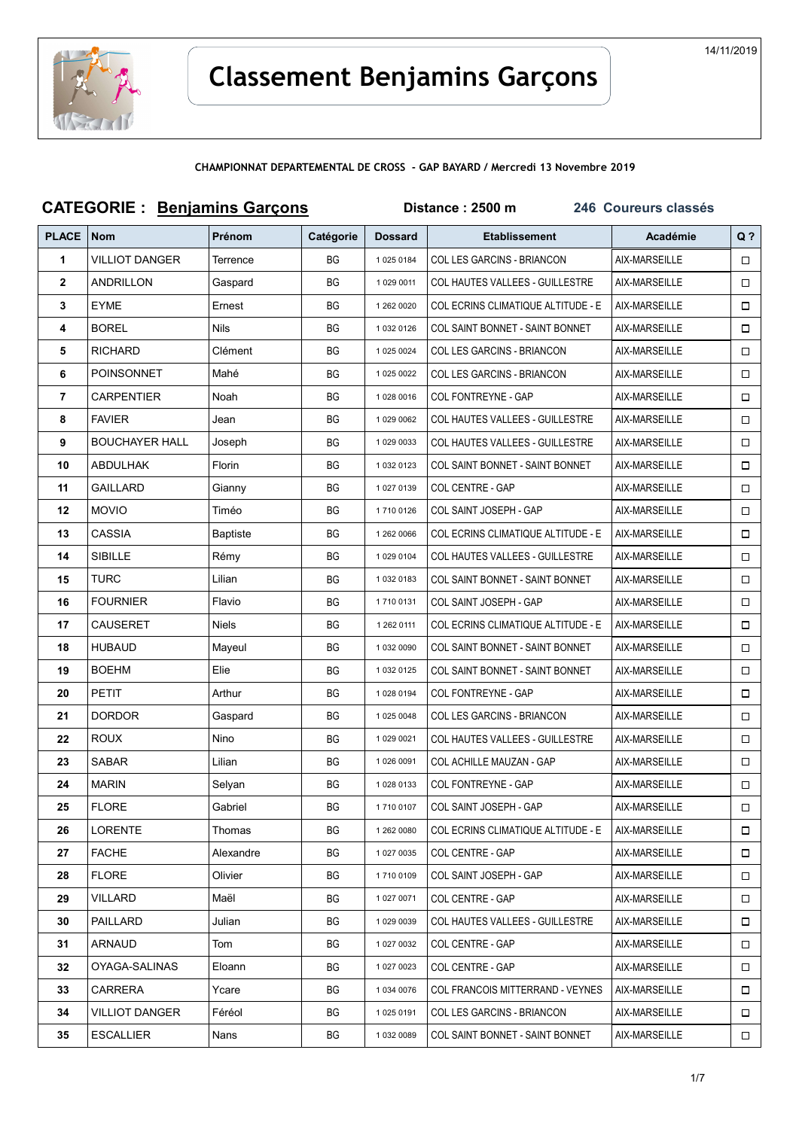

## Classement Benjamins Garçons

CHAMPIONNAT DEPARTEMENTAL DE CROSS - GAP BAYARD / Mercredi 13 Novembre 2019

| <b>CATEGORIE: Benjamins Garçons</b> |                       |                 |           | Distance: 2500 m<br>246 Coureurs classés |                                        |               |        |  |
|-------------------------------------|-----------------------|-----------------|-----------|------------------------------------------|----------------------------------------|---------------|--------|--|
| <b>PLACE</b>                        | <b>Nom</b>            | Prénom          | Catégorie | <b>Dossard</b>                           | <b>Etablissement</b>                   | Académie      | $Q$ ?  |  |
| $\mathbf{1}$                        | <b>VILLIOT DANGER</b> | Terrence        | <b>BG</b> | 10250184                                 | COL LES GARCINS - BRIANCON             | AIX-MARSEILLE | $\Box$ |  |
| $\mathbf{2}$                        | <b>ANDRILLON</b>      | Gaspard         | BG        | 1 029 0011                               | COL HAUTES VALLEES - GUILLESTRE        | AIX-MARSEILLE | 0      |  |
| 3                                   | <b>EYME</b>           | Ernest          | ВG        | 1 262 0020                               | COL ECRINS CLIMATIQUE ALTITUDE - E     | AIX-MARSEILLE | $\Box$ |  |
| 4                                   | <b>BOREL</b>          | <b>Nils</b>     | BG        | 1 032 0126                               | COL SAINT BONNET - SAINT BONNET        | AIX-MARSEILLE | $\Box$ |  |
| 5                                   | <b>RICHARD</b>        | Clément         | ВG        | 1 025 0024                               | <b>COL LES GARCINS - BRIANCON</b>      | AIX-MARSEILLE | 0      |  |
| 6                                   | <b>POINSONNET</b>     | Mahé            | BG        | 1 025 0022                               | COL LES GARCINS - BRIANCON             | AIX-MARSEILLE | □      |  |
| $\overline{7}$                      | <b>CARPENTIER</b>     | Noah            | ВG        | 1 028 0016                               | COL FONTREYNE - GAP                    | AIX-MARSEILLE | □      |  |
| 8                                   | <b>FAVIER</b>         | Jean            | ВG        | 1 029 0062                               | COL HAUTES VALLEES - GUILLESTRE        | AIX-MARSEILLE | 0      |  |
| 9                                   | <b>BOUCHAYER HALL</b> | Joseph          | ВG        | 1 029 0033                               | COL HAUTES VALLEES - GUILLESTRE        | AIX-MARSEILLE | □      |  |
| 10                                  | ABDULHAK              | Florin          | ВG        | 1 032 0123                               | <b>COL SAINT BONNET - SAINT BONNET</b> | AIX-MARSEILLE | 0      |  |
| 11                                  | <b>GAILLARD</b>       | Gianny          | ВG        | 1 027 0139                               | COL CENTRE - GAP                       | AIX-MARSEILLE | $\Box$ |  |
| 12                                  | <b>MOVIO</b>          | Timéo           | BG        | 17100126                                 | COL SAINT JOSEPH - GAP                 | AIX-MARSEILLE | □      |  |
| 13                                  | <b>CASSIA</b>         | <b>Baptiste</b> | BG        | 1 262 0066                               | COL ECRINS CLIMATIQUE ALTITUDE - E     | AIX-MARSEILLE | $\Box$ |  |
| 14                                  | <b>SIBILLE</b>        | Rémy            | ВG        | 1 029 0104                               | COL HAUTES VALLEES - GUILLESTRE        | AIX-MARSEILLE | □      |  |
| 15                                  | TURC                  | Lilian          | ВG        | 1 032 0183                               | COL SAINT BONNET - SAINT BONNET        | AIX-MARSEILLE | □      |  |
| 16                                  | <b>FOURNIER</b>       | Flavio          | ВG        | 17100131                                 | COL SAINT JOSEPH - GAP                 | AIX-MARSEILLE | $\Box$ |  |
| 17                                  | <b>CAUSERET</b>       | Niels           | BG        | 1 262 0111                               | COL ECRINS CLIMATIQUE ALTITUDE - E     | AIX-MARSEILLE | □      |  |
| 18                                  | <b>HUBAUD</b>         | Mayeul          | BG        | 1 032 0090                               | COL SAINT BONNET - SAINT BONNET        | AIX-MARSEILLE | 0      |  |
| 19                                  | <b>BOEHM</b>          | Elie            | BG        | 1 032 0125                               | COL SAINT BONNET - SAINT BONNET        | AIX-MARSEILLE | $\Box$ |  |
| 20                                  | PETIT                 | Arthur          | ВG        | 1 028 0194                               | COL FONTREYNE - GAP                    | AIX-MARSEILLE | □      |  |
| 21                                  | <b>DORDOR</b>         | Gaspard         | ВG        | 1 025 0048                               | COL LES GARCINS - BRIANCON             | AIX-MARSEILLE | 0      |  |
| 22                                  | <b>ROUX</b>           | Nino            | ВG        | 1 029 0021                               | COL HAUTES VALLEES - GUILLESTRE        | AIX-MARSEILLE | $\Box$ |  |
| 23                                  | <b>SABAR</b>          | Lilian          | BG        | 1 026 0091                               | <b>COL ACHILLE MAUZAN - GAP</b>        | AIX-MARSEILLE | $\Box$ |  |
| 24                                  | <b>MARIN</b>          | Selyan          | ВG        | 10280133                                 | COL FONTREYNE - GAP                    | AIX-MARSEILLE | $\Box$ |  |
| 25                                  | <b>FLORE</b>          | Gabriel         | ВG        | 17100107                                 | COL SAINT JOSEPH - GAP                 | AIX-MARSEILLE | □      |  |
| 26                                  | <b>LORENTE</b>        | Thomas          | ВG        | 1 262 0080                               | COL ECRINS CLIMATIQUE ALTITUDE - E     | AIX-MARSEILLE | $\Box$ |  |
| 27                                  | <b>FACHE</b>          | Alexandre       | ВG        | 1 027 0035                               | COL CENTRE - GAP                       | AIX-MARSEILLE | $\Box$ |  |
| 28                                  | <b>FLORE</b>          | Olivier         | BG        | 17100109                                 | COL SAINT JOSEPH - GAP                 | AIX-MARSEILLE | $\Box$ |  |
| 29                                  | VILLARD               | Maël            | BG        | 1 027 0071                               | COL CENTRE - GAP                       | AIX-MARSEILLE | 0      |  |
| 30                                  | PAILLARD              | Julian          | ВG        | 1 029 0039                               | COL HAUTES VALLEES - GUILLESTRE        | AIX-MARSEILLE | $\Box$ |  |
| 31                                  | ARNAUD                | Tom             | ВG        | 1 027 0032                               | COL CENTRE - GAP                       | AIX-MARSEILLE | $\Box$ |  |
| 32                                  | OYAGA-SALINAS         | Eloann          | ВG        | 1 027 0023                               | COL CENTRE - GAP                       | AIX-MARSEILLE | $\Box$ |  |
| 33                                  | <b>CARRERA</b>        | Ycare           | ВG        | 1 034 0076                               | COL FRANCOIS MITTERRAND - VEYNES       | AIX-MARSEILLE | □      |  |
| 34                                  | VILLIOT DANGER        | Féréol          | ВG        | 1 025 0191                               | COL LES GARCINS - BRIANCON             | AIX-MARSEILLE | 0      |  |
| 35                                  | <b>ESCALLIER</b>      | Nans            | BG        | 1 032 0089                               | COL SAINT BONNET - SAINT BONNET        | AIX-MARSEILLE | $\Box$ |  |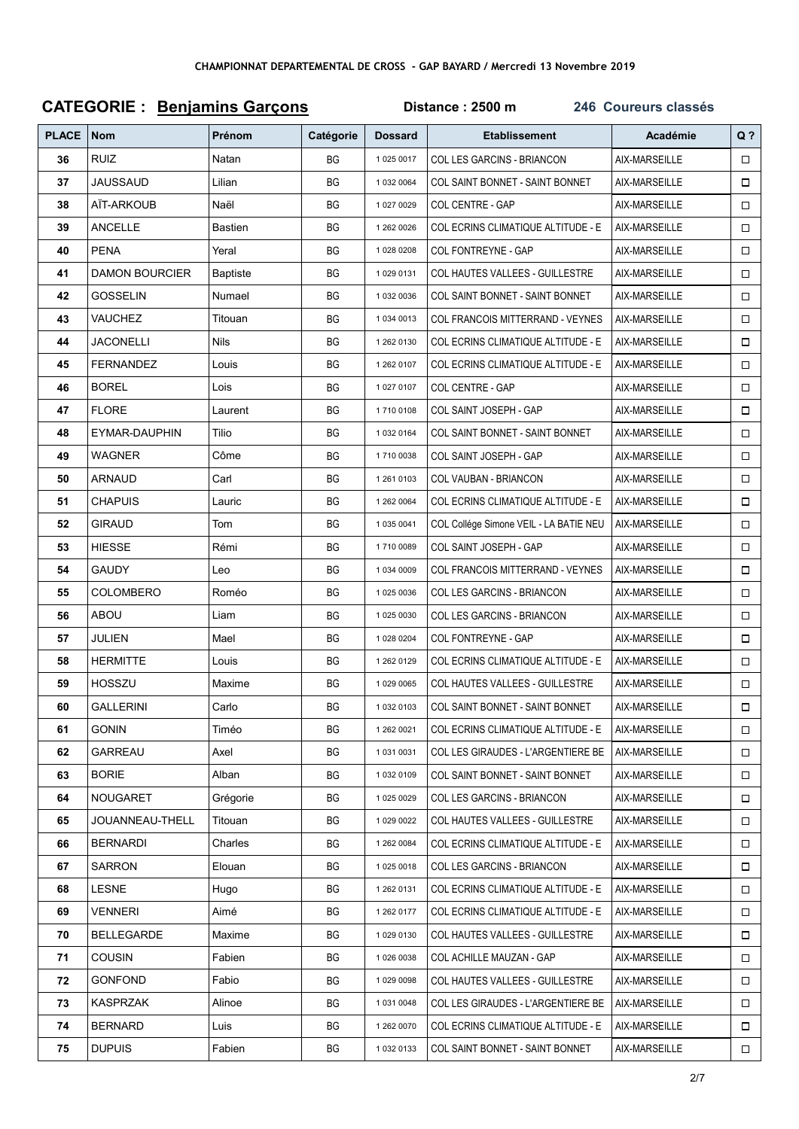## CATEGORIE : Benjamins Garçons **Distance : 2500 m** 246 Coureurs classés Q ? PLACE Nom | Prénom | Catégorie | Dossard Etablissement Académie 36 RUIZ Natan BG 1 025 0017 COL LES GARCINS - BRIANCON AIX-MARSEILLE  $\Box$ 37 JAUSSAUD Lilian BG 1 032 0064 COL SAINT BONNET - SAINT BONNET AIX-MARSEILLE  $\Box$ 38 AÏT-ARKOUB Naël BG 1 027 0029 COL CENTRE - GAP AIX-MARSEILLE  $\Box$ 39 ANCELLE Bastien Bastien BG 1 262 0026 COL ECRINS CLIMATIQUE ALTITUDE - E AIX-MARSEILLE  $\Box$ 40 PENA Yeral Res BG 1 028 0208 COL FONTREYNE - GAP AIX-MARSFILLE  $\Box$ 41 DAMON BOURCIER Baptiste BG 1029 0131 COL HAUTES VALLEES - GUILLESTRE AIX-MARSEILLE  $\Box$ 42 GOSSELIN Numael BG 1 032 0036 COL SAINT BONNET - SAINT BONNET AIX-MARSEILLE  $\Box$ 43 VAUCHEZ Titouan RG 1 034 0013 COL FRANCOIS MITTERRAND - VEYNES AIX-MARSEILLE  $\Box$ 44 JACONELLI Nils BG 1 262 0130 COL ECRINS CLIMATIQUE ALTITUDE - E AIX-MARSEILLE  $\Box$ 45 FERNANDEZ Louis BG 1 262 0107 COL ECRINS CLIMATIQUE ALTITUDE - E AIX-MARSEILLE  $\Box$ 46 BOREL Lois BG 1 027 0107 COL CENTRE - GAP AIX-MARSEILLE  $\Box$ 47 FLORE Laurent | BG | 1710 0108 COL SAINT JOSEPH - GAP | AIX-MARSEILLE  $\Box$ 48 EYMAR-DAUPHIN Tilio BG 1 032 0164 COL SAINT BONNET - SAINT BONNET AIX-MARSEILLE  $\Box$ 49 WAGNER Côme BG 1710 0038 COL SAINT JOSEPH - GAP AIX-MARSEILLE  $\Box$ 50 ARNAUD Carl BG 1 261 0103 COL VAUBAN - BRIANCON AIX-MARSEILLE  $\Box$ 51 CHAPUIS Lauric BG 1 262 0064 COL ECRINS CLIMATIQUE ALTITUDE - E AIX-MARSEILLE  $\Box$ 52 GIRAUD Tom Tom BG 1 035 0041 COL Collége Simone VEIL - LA BATIE NEU AIX-MARSEILLE  $\Box$ 53 HIESSE Rémi BG 1 710 0089 COL SAINT JOSEPH - GAP AIX-MARSEILLE  $\Box$ 54 GAUDY Leo RG 1034 0009 COL FRANCOIS MITTERRAND - VEYNES AIX-MARSEILLE  $\Box$ 55 COLOMBERO Roméo BG 1 025 0036 COL LES GARCINS - BRIANCON AIX-MARSEILLE  $\Box$ 56 ABOU Liam BG 1 025 0030 COL LES GARCINS - BRIANCON AIX-MARSEILLE  $\Box$ 57 JULIEN Mael BG 1 028 0204 COL FONTREYNE - GAP AIX-MARSEILLE  $\Box$ **58** HERMITTE Louis | BG 1 262 0129 COL ECRINS CLIMATIQUE ALTITUDE - E AIX-MARSEILLE  $\Box$ 59 HOSSZU Maxime BG 1 029 0065 COL HAUTES VALLEES - GUILLESTRE AIX-MARSEILLE  $\Box$ 60 GALLERINI Carlo BG 1 032 0103 COL SAINT BONNET - SAINT BONNET AIX-MARSEILLE  $\Box$ 61 GONIN Timéo BG 1 262 0021 COL ECRINS CLIMATIQUE ALTITUDE - E AIX-MARSEILLE  $\Box$ 62 GARREAU Axel BG 1 031 0031 COL LES GIRAUDES - L'ARGENTIERE BE AIX-MARSEILLE  $\Box$ 63 BORIE Alban BG 1 032 0109 COL SAINT BONNET - SAINT BONNET AIX-MARSEILLE  $\Box$ 64 NOUGARET Grégorie BG 1 025 0029 COL LES GARCINS - BRIANCON AIX-MARSEILLE  $\Box$ 65 JOUANNEAU-THELL Titouan BG 1 029 0022 COL HAUTES VALLEES - GUILLESTRE AIX-MARSEILLE  $\Box$ 66 BERNARDI Charles | BG 1 262 0084 COL ECRINS CLIMATIQUE ALTITUDE - E AIX-MARSEILLE  $\Box$ 67 SARRON Elouan BG 1 025 0018 COL LES GARCINS - BRIANCON AIX-MARSEILLE  $\Box$ 68 LIESNE Hugo BG 1262 0131 COL ECRINS CLIMATIQUE ALTITUDE - F AIX-MARSEILLE  $\Box$ 69 VENNERI Aimé BG 1 262 0177 COL ECRINS CLIMATIQUE ALTITUDE - E AIX-MARSEILLE  $\Box$ 70 BELLEGARDE Maxime RG 1 029 0130 COL HAUTES VALLEES - GUILLESTRE AIX-MARSEILLE  $\Box$ 71 COUSIN Fabien | BG 1 026 0038 COL ACHILLE MAUZAN - GAP | AIX-MARSEILLE  $\Box$ **72 GONFOND** Fabio RG 1 029 0098 COL HAUTES VALLEES - GUILLESTRE AIX-MARSEILLE  $\Box$ 73 KASPRZAK Alinoe BG 1 031 0048 COL LES GIRAUDES - L'ARGENTIERE BE AIX-MARSEILLE  $\Box$ **74 BERNARD Luis BG** 1 262 0070 COL ECRINS CLIMATIQUE ALTITUDE - E AIX-MARSEILLE  $\Box$ 75 DUPUIS Fabien BG 1 032 0133 COL SAINT BONNET - SAINT BONNET AIX-MARSEILLE  $\Box$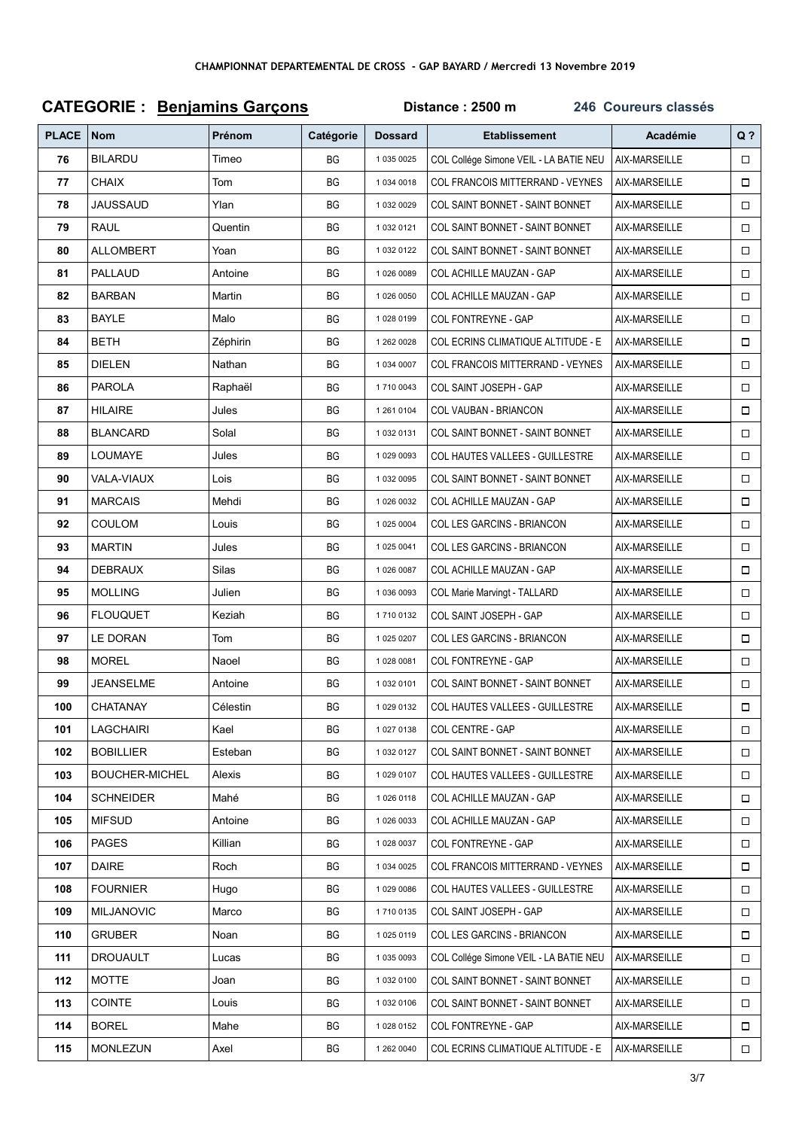| <b>CATEGORIE: Benjamins Garçons</b> |                       |          |           | Distance: 2500 m<br>246 Coureurs classés |                                           |               |                |  |
|-------------------------------------|-----------------------|----------|-----------|------------------------------------------|-------------------------------------------|---------------|----------------|--|
| <b>PLACE</b>                        | <b>Nom</b>            | Prénom   | Catégorie | <b>Dossard</b>                           | <b>Etablissement</b>                      | Académie      | Q <sub>2</sub> |  |
| 76                                  | <b>BILARDU</b>        | Timeo    | BG        | 1 035 0025                               | COL Collége Simone VEIL - LA BATIE NEU    | AIX-MARSEILLE | $\Box$         |  |
| 77                                  | <b>CHAIX</b>          | Tom      | BG        | 1 034 0018                               | COL FRANCOIS MITTERRAND - VEYNES          | AIX-MARSEILLE | $\Box$         |  |
| 78                                  | JAUSSAUD              | Ylan     | ВG        | 1 032 0029                               | <b>COL SAINT BONNET - SAINT BONNET</b>    | AIX-MARSEILLE | $\Box$         |  |
| 79                                  | RAUL                  | Quentin  | BG        | 1 032 0121                               | <b>COL SAINT BONNET - SAINT BONNET</b>    | AIX-MARSEILLE | $\Box$         |  |
| 80                                  | ALLOMBERT             | Yoan     | ВG        | 1 032 0122                               | COL SAINT BONNET - SAINT BONNET           | AIX-MARSEILLE | $\Box$         |  |
| 81                                  | <b>PALLAUD</b>        | Antoine  | BG        | 1 026 0089                               | COL ACHILLE MAUZAN - GAP                  | AIX-MARSEILLE | $\Box$         |  |
| 82                                  | <b>BARBAN</b>         | Martin   | BG        | 1 026 0050                               | COL ACHILLE MAUZAN - GAP                  | AIX-MARSEILLE | □              |  |
| 83                                  | <b>BAYLE</b>          | Malo     | ВG        | 10280199                                 | COL FONTREYNE - GAP                       | AIX-MARSEILLE | $\Box$         |  |
| 84                                  | <b>BETH</b>           | Zéphirin | ВG        | 1 262 0028                               | <b>COL ECRINS CLIMATIQUE ALTITUDE - E</b> | AIX-MARSEILLE | $\Box$         |  |
| 85                                  | DIELEN                | Nathan   | ВG        | 1 034 0007                               | <b>COL FRANCOIS MITTERRAND - VEYNES</b>   | AIX-MARSEILLE | $\Box$         |  |
| 86                                  | <b>PAROLA</b>         | Raphaël  | BG        | 1710 0043                                | COL SAINT JOSEPH - GAP                    | AIX-MARSEILLE | $\Box$         |  |
| 87                                  | <b>HILAIRE</b>        | Jules    | BG        | 1 261 0104                               | COL VAUBAN - BRIANCON                     | AIX-MARSEILLE | $\Box$         |  |
| 88                                  | <b>BLANCARD</b>       | Solal    | BG        | 1 032 0131                               | COL SAINT BONNET - SAINT BONNET           | AIX-MARSEILLE | □              |  |
| 89                                  | <b>LOUMAYE</b>        | Jules    | ВG        | 1 029 0093                               | <b>COL HAUTES VALLEES - GUILLESTRE</b>    | AIX-MARSEILLE | $\Box$         |  |
| 90                                  | VALA-VIAUX            | Lois     | ВG        | 1 032 0095                               | <b>COL SAINT BONNET - SAINT BONNET</b>    | AIX-MARSEILLE | $\Box$         |  |
| 91                                  | <b>MARCAIS</b>        | Mehdi    | ВG        | 1 026 0032                               | COL ACHILLE MAUZAN - GAP                  | AIX-MARSEILLE | $\Box$         |  |
| 92                                  | <b>COULOM</b>         | Louis    | BG        | 1 025 0004                               | COL LES GARCINS - BRIANCON                | AIX-MARSEILLE | $\Box$         |  |
| 93                                  | <b>MARTIN</b>         | Jules    | ВG        | 1 025 0041                               | COL LES GARCINS - BRIANCON                | AIX-MARSEILLE | $\Box$         |  |
| 94                                  | DEBRAUX               | Silas    | ВG        | 1 026 0087                               | COL ACHILLE MAUZAN - GAP                  | AIX-MARSEILLE | □              |  |
| 95                                  | <b>MOLLING</b>        | Julien   | ВG        | 1 036 0093                               | COL Marie Marvingt - TALLARD              | AIX-MARSEILLE | $\Box$         |  |
| 96                                  | <b>FLOUQUET</b>       | Keziah   | ВG        | 17100132                                 | COL SAINT JOSEPH - GAP                    | AIX-MARSEILLE | $\Box$         |  |
| 97                                  | LE DORAN              | Tom      | ВG        | 1 025 0207                               | COL LES GARCINS - BRIANCON                | AIX-MARSEILLE | $\Box$         |  |
| 98                                  | <b>MOREL</b>          | Naoel    | BG        | 1 028 0081                               | COL FONTREYNE - GAP                       | AIX-MARSEILLE |                |  |
| 99                                  | <b>JEANSELME</b>      | Antoine  | ВG        | 1 032 0101                               | COL SAINT BONNET - SAINT BONNET           | AIX-MARSEILLE | $\Box$         |  |
| 100                                 | <b>CHATANAY</b>       | Célestin | ВG        | 1 029 0132                               | COL HAUTES VALLEES - GUILLESTRE           | AIX-MARSEILLE |                |  |
| 101                                 | <b>LAGCHAIRI</b>      | Kael     | ВG        | 1 027 0138                               | COL CENTRE - GAP                          | AIX-MARSEILLE | □              |  |
| 102                                 | <b>BOBILLIER</b>      | Esteban  | ВG        | 1 032 0127                               | <b>COL SAINT BONNET - SAINT BONNET</b>    | AIX-MARSEILLE | $\Box$         |  |
| 103                                 | <b>BOUCHER-MICHEL</b> | Alexis   | ВG        | 1 029 0107                               | <b>COL HAUTES VALLEES - GUILLESTRE</b>    | AIX-MARSEILLE |                |  |
| 104                                 | <b>SCHNEIDER</b>      | Mahé     | BG        | 1 026 0118                               | COL ACHILLE MAUZAN - GAP                  | AIX-MARSEILLE | $\Box$         |  |
| 105                                 | <b>MIFSUD</b>         | Antoine  | ВG        | 1 026 0033                               | COL ACHILLE MAUZAN - GAP                  | AIX-MARSEILLE | Ω.             |  |
| 106                                 | <b>PAGES</b>          | Killian  | ВG        | 1 028 0037                               | COL FONTREYNE - GAP                       | AIX-MARSEILLE |                |  |
| 107                                 | <b>DAIRE</b>          | Roch     | BG        | 1 034 0025                               | <b>COL FRANCOIS MITTERRAND - VEYNES</b>   | AIX-MARSEILLE | Π.             |  |
| 108                                 | <b>FOURNIER</b>       | Hugo     | ВG        | 1 029 0086                               | <b>COL HAUTES VALLEES - GUILLESTRE</b>    | AIX-MARSEILLE | $\Box$         |  |
| 109                                 | <b>MILJANOVIC</b>     | Marco    | ВG        | 17100135                                 | COL SAINT JOSEPH - GAP                    | AIX-MARSEILLE |                |  |
| 110                                 | <b>GRUBER</b>         | Noan     | BG        | 1 025 0119                               | COL LES GARCINS - BRIANCON                | AIX-MARSEILLE | $\Box$         |  |
| 111                                 | DROUAULT              | Lucas    | ВG        | 1 035 0093                               | COL Collége Simone VEIL - LA BATIE NEU    | AIX-MARSEILLE | □              |  |
| 112                                 | <b>MOTTE</b>          | Joan     | BG        | 1 032 0100                               | COL SAINT BONNET - SAINT BONNET           | AIX-MARSEILLE | □              |  |
| 113                                 | <b>COINTE</b>         | Louis    | BG        | 1 032 0106                               | COL SAINT BONNET - SAINT BONNET           | AIX-MARSEILLE | □              |  |
| 114                                 | <b>BOREL</b>          | Mahe     | BG        | 1 028 0152                               | COL FONTREYNE - GAP                       | AIX-MARSEILLE | $\Box$         |  |
| 115                                 | <b>MONLEZUN</b>       | Axel     | BG        | 1 262 0040                               | COL ECRINS CLIMATIQUE ALTITUDE - E        | AIX-MARSEILLE | $\Box$         |  |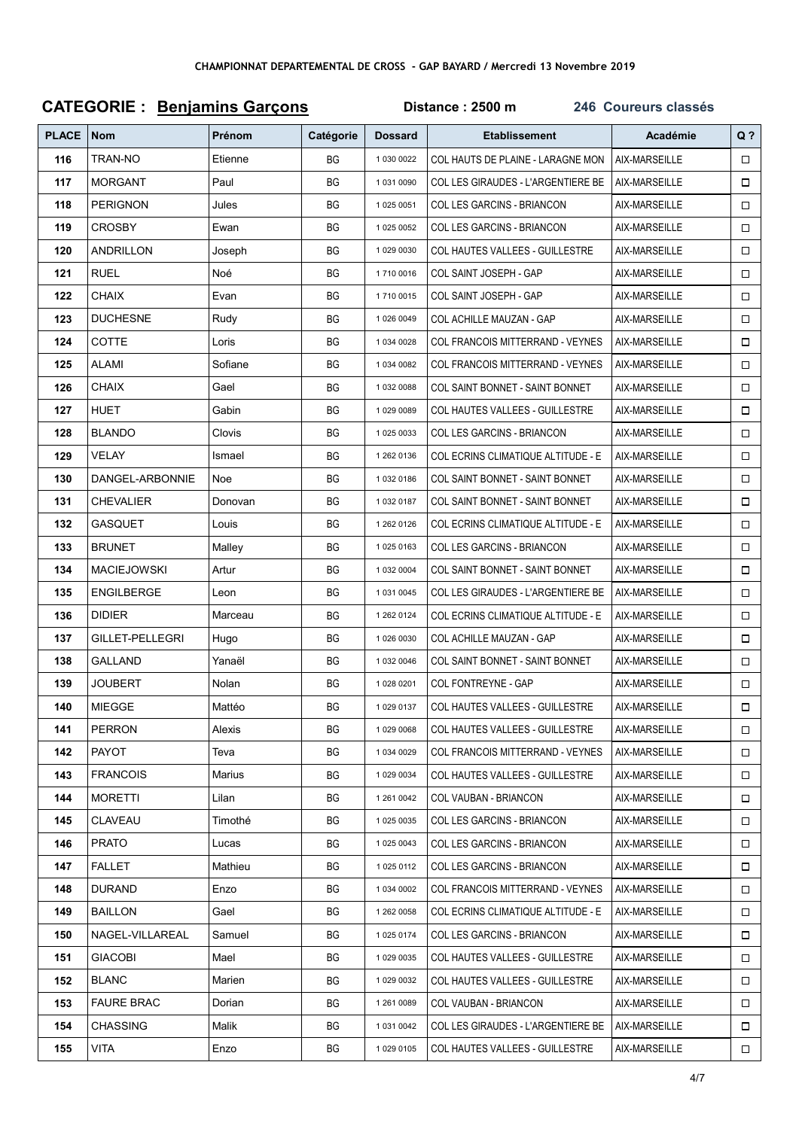| <b>CATEGORIE : Benjamins Garçons</b> |                          |         |           | Distance: 2500 m<br>246 Coureurs classés |                                           |               |                |  |
|--------------------------------------|--------------------------|---------|-----------|------------------------------------------|-------------------------------------------|---------------|----------------|--|
| <b>PLACE</b>                         | $\sqrt{\frac{1}{1}}$ Nom | Prénom  | Catégorie | <b>Dossard</b>                           | <b>Etablissement</b>                      | Académie      | Q <sub>2</sub> |  |
| 116                                  | TRAN-NO                  | Etienne | BG        | 1 030 0022                               | COL HAUTS DE PLAINE - LARAGNE MON         | AIX-MARSEILLE | $\Box$         |  |
| 117                                  | <b>MORGANT</b>           | Paul    | <b>BG</b> | 1 031 0090                               | COL LES GIRAUDES - L'ARGENTIERE BE        | AIX-MARSEILLE | $\Box$         |  |
| 118                                  | <b>PERIGNON</b>          | Jules   | ВG        | 1 025 0051                               | COL LES GARCINS - BRIANCON                | AIX-MARSEILLE | $\Box$         |  |
| 119                                  | <b>CROSBY</b>            | Ewan    | BG        | 1 025 0052                               | COL LES GARCINS - BRIANCON                | AIX-MARSEILLE | $\Box$         |  |
| 120                                  | ANDRILLON                | Joseph  | BG        | 1 029 0030                               | COL HAUTES VALLEES - GUILLESTRE           | AIX-MARSEILLE | $\Box$         |  |
| 121                                  | <b>RUEL</b>              | Noé     | BG        | 1710 0016                                | COL SAINT JOSEPH - GAP                    | AIX-MARSEILLE | $\Box$         |  |
| 122                                  | <b>CHAIX</b>             | Evan    | <b>BG</b> | 1710 0015                                | COL SAINT JOSEPH - GAP                    | AIX-MARSEILLE | □              |  |
| 123                                  | <b>DUCHESNE</b>          | Rudy    | ВG        | 1 026 0049                               | COL ACHILLE MAUZAN - GAP                  | AIX-MARSEILLE | □              |  |
| 124                                  | <b>COTTE</b>             | Loris   | <b>BG</b> | 1 0 34 0 0 28                            | <b>COL FRANCOIS MITTERRAND - VEYNES</b>   | AIX-MARSEILLE | $\Box$         |  |
| 125                                  | <b>ALAMI</b>             | Sofiane | ВG        | 1 034 0082                               | COL FRANCOIS MITTERRAND - VEYNES          | AIX-MARSEILLE | □              |  |
| 126                                  | CHAIX                    | Gael    | BG        | 1 032 0088                               | <b>COL SAINT BONNET - SAINT BONNET</b>    | AIX-MARSEILLE | $\Box$         |  |
| 127                                  | HUET                     | Gabin   | BG        | 1 029 0089                               | <b>COL HAUTES VALLEES - GUILLESTRE</b>    | AIX-MARSEILLE | $\Box$         |  |
| 128                                  | <b>BLANDO</b>            | Clovis  | ВG        | 1 025 0033                               | <b>COL LES GARCINS - BRIANCON</b>         | AIX-MARSEILLE | □              |  |
| 129                                  | VELAY                    | Ismael  | ВG        | 1 262 0136                               | <b>COL ECRINS CLIMATIQUE ALTITUDE - E</b> | AIX-MARSEILLE | 0              |  |
| 130                                  | DANGEL-ARBONNIE          | Noe     | ВG        | 1 032 0186                               | COL SAINT BONNET - SAINT BONNET           | AIX-MARSEILLE | $\Box$         |  |
| 131                                  | CHEVALIER                | Donovan | ВG        | 1 032 0187                               | COL SAINT BONNET - SAINT BONNET           | AIX-MARSEILLE | $\Box$         |  |
| 132                                  | <b>GASQUET</b>           | Louis   | ВG        | 1 262 0126                               | <b>COL ECRINS CLIMATIQUE ALTITUDE - E</b> | AIX-MARSEILLE | $\Box$         |  |
| 133                                  | <b>BRUNET</b>            | Malley  | BG        | 1 025 0163                               | COL LES GARCINS - BRIANCON                | AIX-MARSEILLE | $\Box$         |  |
| 134                                  | <b>MACIEJOWSKI</b>       | Artur   | ВG        | 1 032 0004                               | COL SAINT BONNET - SAINT BONNET           | AIX-MARSEILLE | □              |  |
| 135                                  | <b>ENGILBERGE</b>        | Leon    | ВG        | 1 031 0045                               | COL LES GIRAUDES - L'ARGENTIERE BE        | AIX-MARSEILLE | □              |  |
| 136                                  | <b>DIDIER</b>            | Marceau | BG        | 1 262 0124                               | <b>COL ECRINS CLIMATIQUE ALTITUDE - E</b> | AIX-MARSEILLE | $\Box$         |  |
| 137                                  | GILLET-PELLEGRI          | Hugo    | BG        | 1 026 0030                               | COL ACHILLE MAUZAN - GAP                  | AIX-MARSEILLE | □              |  |
| 138                                  | GALLAND                  | Yanaël  | BG        | 1 032 0046                               | COL SAINT BONNET - SAINT BONNET           | AIX-MARSEILLE |                |  |
| 139                                  | JOUBERT                  | Nolan   | ВG        | 1 028 0201                               | COL FONTREYNE - GAP                       | AIX-MARSEILLE | □              |  |
| 140                                  | <b>MIEGGE</b>            | Mattéo  | ВG        | 1 029 0137                               | COL HAUTES VALLEES - GUILLESTRE           | AIX-MARSEILLE |                |  |
| 141                                  | <b>PERRON</b>            | Alexis  | ВG        | 1 029 0068                               | <b>COL HAUTES VALLEES - GUILLESTRE</b>    | AIX-MARSEILLE | □              |  |
| 142                                  | <b>PAYOT</b>             | Teva    | ВG        | 1 034 0029                               | <b>COL FRANCOIS MITTERRAND - VEYNES</b>   | AIX-MARSEILLE | $\Box$         |  |
| 143                                  | <b>FRANCOIS</b>          | Marius  | BG        | 1 029 0034                               | COL HAUTES VALLEES - GUILLESTRE           | AIX-MARSEILLE |                |  |
| 144                                  | <b>MORETTI</b>           | Lilan   | BG        | 1 261 0042                               | COL VAUBAN - BRIANCON                     | AIX-MARSEILLE | $\Box$         |  |
| 145                                  | <b>CLAVEAU</b>           | Timothé | BG        | 1 025 0035                               | COL LES GARCINS - BRIANCON                | AIX-MARSEILLE |                |  |
| 146                                  | <b>PRATO</b>             | Lucas   | BG        | 1 025 0043                               | COL LES GARCINS - BRIANCON                | AIX-MARSEILLE | 0              |  |
| 147                                  | <b>FALLET</b>            | Mathieu | BG        | 1 025 0112                               | COL LES GARCINS - BRIANCON                | AIX-MARSEILLE | □              |  |
| 148                                  | <b>DURAND</b>            | Enzo    | ВG        | 1 034 0002                               | COL FRANCOIS MITTERRAND - VEYNES          | AIX-MARSEILLE | $\Box$         |  |
| 149                                  | <b>BAILLON</b>           | Gael    | BG        | 1 262 0058                               | COL ECRINS CLIMATIQUE ALTITUDE - E        | AIX-MARSEILLE |                |  |
| 150                                  | NAGEL-VILLAREAL          | Samuel  | BG        | 1 025 0174                               | COL LES GARCINS - BRIANCON                | AIX-MARSEILLE | $\Box$         |  |
| 151                                  | <b>GIACOBI</b>           | Mael    | BG        | 1 029 0035                               | <b>COL HAUTES VALLEES - GUILLESTRE</b>    | AIX-MARSEILLE | □              |  |
| 152                                  | <b>BLANC</b>             | Marien  | BG        | 1 029 0032                               | <b>COL HAUTES VALLEES - GUILLESTRE</b>    | AIX-MARSEILLE | □              |  |
| 153                                  | <b>FAURE BRAC</b>        | Dorian  | BG        | 1 261 0089                               | COL VAUBAN - BRIANCON                     | AIX-MARSEILLE | $\Box$         |  |
| 154                                  | CHASSING                 | Malik   | BG        | 1 031 0042                               | COL LES GIRAUDES - L'ARGENTIERE BE        | AIX-MARSEILLE |                |  |
| 155                                  | <b>VITA</b>              | Enzo    | BG        | 1 029 0105                               | COL HAUTES VALLEES - GUILLESTRE           | AIX-MARSEILLE | $\Box$         |  |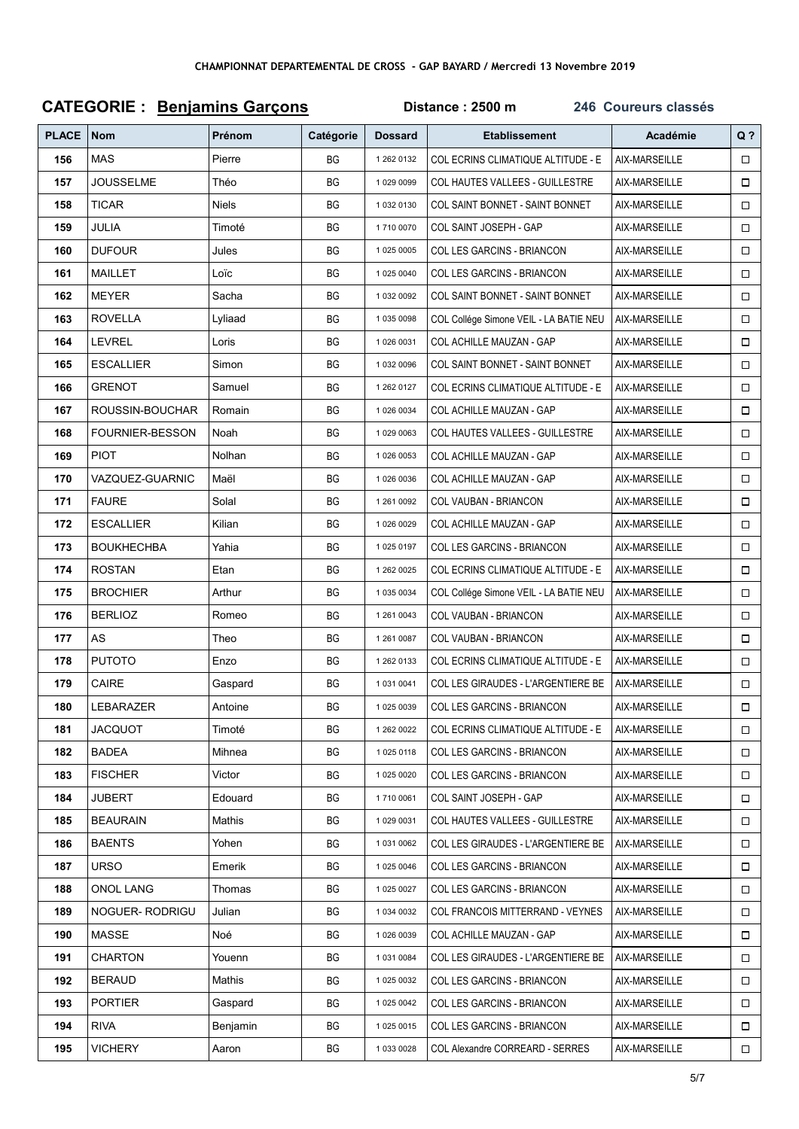|              | <b>CATEGORIE : Benjamins Garçons</b> |               |           | Distance: 2500 m<br>246 Coureurs classés |                                           |               |        |  |
|--------------|--------------------------------------|---------------|-----------|------------------------------------------|-------------------------------------------|---------------|--------|--|
| <b>PLACE</b> | <b>Nom</b>                           | <b>Prénom</b> | Catégorie | <b>Dossard</b>                           | <b>Etablissement</b>                      | Académie      | $Q$ ?  |  |
| 156          | <b>MAS</b>                           | Pierre        | BG        | 1 262 0132                               | <b>COL ECRINS CLIMATIQUE ALTITUDE - E</b> | AIX-MARSEILLE | $\Box$ |  |
| 157          | <b>JOUSSELME</b>                     | Théo          | BG        | 1 029 0099                               | <b>COL HAUTES VALLEES - GUILLESTRE</b>    | AIX-MARSEILLE | □      |  |
| 158          | <b>TICAR</b>                         | Niels         | BG        | 1 032 0130                               | COL SAINT BONNET - SAINT BONNET           | AIX-MARSEILLE | $\Box$ |  |
| 159          | JULIA                                | Timoté        | ВG        | 1710 0070                                | COL SAINT JOSEPH - GAP                    | AIX-MARSEILLE | $\Box$ |  |
| 160          | <b>DUFOUR</b>                        | Jules         | BG        | 1 025 0005                               | COL LES GARCINS - BRIANCON                | AIX-MARSEILLE | $\Box$ |  |
| 161          | MAILLET                              | Loïc          | BG        | 1 025 0040                               | COL LES GARCINS - BRIANCON                | AIX-MARSEILLE | $\Box$ |  |
| 162          | <b>MEYER</b>                         | Sacha         | ВG        | 1 032 0092                               | <b>COL SAINT BONNET - SAINT BONNET</b>    | AIX-MARSEILLE | $\Box$ |  |
| 163          | <b>ROVELLA</b>                       | Lyliaad       | ВG        | 1 035 0098                               | COL Collége Simone VEIL - LA BATIE NEU    | AIX-MARSEILLE | $\Box$ |  |
| 164          | <b>LEVREL</b>                        | Loris         | BG        | 1 026 0031                               | COL ACHILLE MAUZAN - GAP                  | AIX-MARSEILLE | $\Box$ |  |
| 165          | <b>ESCALLIER</b>                     | Simon         | ВG        | 1 032 0096                               | <b>COL SAINT BONNET - SAINT BONNET</b>    | AIX-MARSEILLE | $\Box$ |  |
| 166          | <b>GRENOT</b>                        | Samuel        | ВG        | 1 262 0127                               | COL ECRINS CLIMATIQUE ALTITUDE - E        | AIX-MARSEILLE | $\Box$ |  |
| 167          | ROUSSIN-BOUCHAR                      | Romain        | ВG        | 1 026 0034                               | COL ACHILLE MAUZAN - GAP                  | AIX-MARSEILLE | $\Box$ |  |
| 168          | <b>FOURNIER-BESSON</b>               | Noah          | ВG        | 1 029 0063                               | <b>COL HAUTES VALLEES - GUILLESTRE</b>    | AIX-MARSEILLE | $\Box$ |  |
| 169          | <b>PIOT</b>                          | Nolhan        | BG        | 1 026 0053                               | COL ACHILLE MAUZAN - GAP                  | AIX-MARSEILLE | □      |  |
| 170          | VAZQUEZ-GUARNIC                      | Maël          | BG        | 1 026 0036                               | COL ACHILLE MAUZAN - GAP                  | AIX-MARSEILLE | $\Box$ |  |
| 171          | <b>FAURE</b>                         | Solal         | ВG        | 1 261 0092                               | COL VAUBAN - BRIANCON                     | AIX-MARSEILLE | $\Box$ |  |
| 172          | <b>ESCALLIER</b>                     | Kilian        | ВG        | 1 026 0029                               | COL ACHILLE MAUZAN - GAP                  | AIX-MARSEILLE | $\Box$ |  |
| 173          | <b>BOUKHECHBA</b>                    | Yahia         | ВG        | 10250197                                 | COL LES GARCINS - BRIANCON                | AIX-MARSEILLE | $\Box$ |  |
| 174          | <b>ROSTAN</b>                        | Etan          | ВG        | 1 262 0025                               | COL ECRINS CLIMATIQUE ALTITUDE - E        | AIX-MARSEILLE | $\Box$ |  |
| 175          | <b>BROCHIER</b>                      | Arthur        | BG        | 1 035 0034                               | COL Collége Simone VEIL - LA BATIE NEU    | AIX-MARSEILLE |        |  |
| 176          | <b>BERLIOZ</b>                       | Romeo         | BG        | 1 261 0043                               | <b>COL VAUBAN - BRIANCON</b>              | AIX-MARSEILLE | $\Box$ |  |
| 177          | AS                                   | Theo          | ВG        | 1 261 0087                               | <b>COL VAUBAN - BRIANCON</b>              | AIX-MARSEILLE | $\Box$ |  |
| 178          | <b>PUTOTO</b>                        | Enzo          | ВG        | 1 262 0133                               | <b>COL ECRINS CLIMATIQUE ALTITUDE - E</b> | AIX-MARSEILLE | $\Box$ |  |
| 179          | CAIRE                                | Gaspard       | ВG        | 1 031 0041                               | COL LES GIRAUDES - L'ARGENTIERE BE        | AIX-MARSEILLE | $\Box$ |  |
| 180          | LEBARAZER                            | Antoine       | ВG        | 1 025 0039                               | COL LES GARCINS - BRIANCON                | AIX-MARSEILLE | $\Box$ |  |
| 181          | <b>JACQUOT</b>                       | Timoté        | ВG        | 1 262 0022                               | <b>COL ECRINS CLIMATIQUE ALTITUDE - E</b> | AIX-MARSEILLE | □      |  |
| 182          | <b>BADEA</b>                         | Mihnea        | ВG        | 1 025 0118                               | COL LES GARCINS - BRIANCON                | AIX-MARSEILLE | $\Box$ |  |
| 183          | <b>FISCHER</b>                       | Victor        | ВG        | 1 025 0020                               | COL LES GARCINS - BRIANCON                | AIX-MARSEILLE | $\Box$ |  |
| 184          | <b>JUBERT</b>                        | Edouard       | BG        | 1710 0061                                | COL SAINT JOSEPH - GAP                    | AIX-MARSEILLE | □      |  |
| 185          | <b>BEAURAIN</b>                      | Mathis        | ВG        | 1 029 0031                               | COL HAUTES VALLEES - GUILLESTRE           | AIX-MARSEILLE | $\Box$ |  |
| 186          | <b>BAENTS</b>                        | Yohen         | BG        | 1 031 0062                               | COL LES GIRAUDES - L'ARGENTIERE BE        | AIX-MARSEILLE |        |  |
| 187          | <b>URSO</b>                          | Emerik        | ВG        | 1 025 0046                               | COL LES GARCINS - BRIANCON                | AIX-MARSEILLE | □      |  |
| 188          | ONOL LANG                            | Thomas        | ВG        | 1 025 0027                               | COL LES GARCINS - BRIANCON                | AIX-MARSEILLE | $\Box$ |  |
| 189          | NOGUER-RODRIGU                       | Julian        | ВG        | 1 034 0032                               | COL FRANCOIS MITTERRAND - VEYNES          | AIX-MARSEILLE | $\Box$ |  |
| 190          | MASSE                                | Noé           | BG        | 1 026 0039                               | COL ACHILLE MAUZAN - GAP                  | AIX-MARSEILLE |        |  |
| 191          | <b>CHARTON</b>                       | Youenn        | BG        | 1 031 0084                               | COL LES GIRAUDES - L'ARGENTIERE BE        | AIX-MARSEILLE |        |  |
| 192          | <b>BERAUD</b>                        | Mathis        | ВG        | 1 025 0032                               | COL LES GARCINS - BRIANCON                | AIX-MARSEILLE | $\Box$ |  |
| 193          | <b>PORTIER</b>                       | Gaspard       | ВG        | 1 025 0042                               | COL LES GARCINS - BRIANCON                | AIX-MARSEILLE | $\Box$ |  |
| 194          | <b>RIVA</b>                          | Benjamin      | ВG        | 1 025 0015                               | COL LES GARCINS - BRIANCON                | AIX-MARSEILLE | $\Box$ |  |
| 195          | <b>VICHERY</b>                       | Aaron         | BG        | 1 033 0028                               | COL Alexandre CORREARD - SERRES           | AIX-MARSEILLE | $\Box$ |  |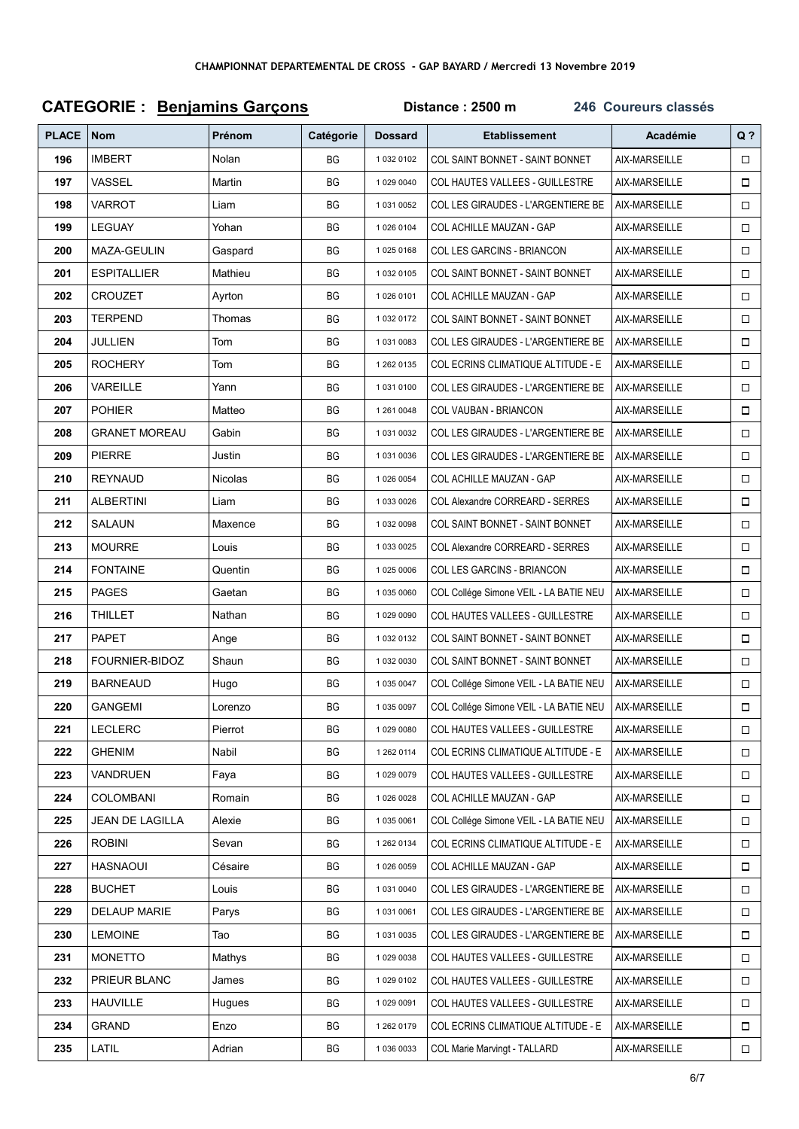| <b>CATEGORIE : Benjamins Garçons</b> |                        |               |           | Distance: 2500 m<br>246 Coureurs classés |                                        |               |        |  |
|--------------------------------------|------------------------|---------------|-----------|------------------------------------------|----------------------------------------|---------------|--------|--|
| <b>PLACE</b>                         | <b>Nom</b>             | <b>Prénom</b> | Catégorie | <b>Dossard</b>                           | <b>Etablissement</b>                   | Académie      | $Q$ ?  |  |
| 196                                  | <b>IMBERT</b>          | Nolan         | BG        | 1 032 0102                               | <b>COL SAINT BONNET - SAINT BONNET</b> | AIX-MARSEILLE | $\Box$ |  |
| 197                                  | VASSEL                 | Martin        | BG        | 1 029 0040                               | <b>COL HAUTES VALLEES - GUILLESTRE</b> | AIX-MARSEILLE | □      |  |
| 198                                  | <b>VARROT</b>          | Liam          | BG        | 1 031 0052                               | COL LES GIRAUDES - L'ARGENTIERE BE     | AIX-MARSEILLE | $\Box$ |  |
| 199                                  | LEGUAY                 | Yohan         | ВG        | 1 026 0104                               | COL ACHILLE MAUZAN - GAP               | AIX-MARSEILLE | $\Box$ |  |
| 200                                  | MAZA-GEULIN            | Gaspard       | BG        | 10250168                                 | COL LES GARCINS - BRIANCON             | AIX-MARSEILLE | $\Box$ |  |
| 201                                  | <b>ESPITALLIER</b>     | Mathieu       | ВG        | 1 032 0105                               | <b>COL SAINT BONNET - SAINT BONNET</b> | AIX-MARSEILLE | $\Box$ |  |
| 202                                  | <b>CROUZET</b>         | Ayrton        | BG        | 10260101                                 | COL ACHILLE MAUZAN - GAP               | AIX-MARSEILLE | $\Box$ |  |
| 203                                  | <b>TERPEND</b>         | Thomas        | ВG        | 1 032 0172                               | COL SAINT BONNET - SAINT BONNET        | AIX-MARSEILLE | □      |  |
| 204                                  | <b>JULLIEN</b>         | Tom           | BG        | 1 031 0083                               | COL LES GIRAUDES - L'ARGENTIERE BE     | AIX-MARSEILLE | $\Box$ |  |
| 205                                  | <b>ROCHERY</b>         | Tom           | ВG        | 1 262 0135                               | COL ECRINS CLIMATIQUE ALTITUDE - E     | AIX-MARSEILLE | $\Box$ |  |
| 206                                  | VAREILLE               | Yann          | ВG        | 10310100                                 | COL LES GIRAUDES - L'ARGENTIERE BE     | AIX-MARSEILLE | $\Box$ |  |
| 207                                  | <b>POHIER</b>          | Matteo        | ВG        | 1 261 0048                               | <b>COL VAUBAN - BRIANCON</b>           | AIX-MARSEILLE | $\Box$ |  |
| 208                                  | <b>GRANET MOREAU</b>   | Gabin         | ВG        | 1 031 0032                               | COL LES GIRAUDES - L'ARGENTIERE BE     | AIX-MARSEILLE | $\Box$ |  |
| 209                                  | <b>PIERRE</b>          | Justin        | BG        | 1 031 0036                               | COL LES GIRAUDES - L'ARGENTIERE BE     | AIX-MARSEILLE | □      |  |
| 210                                  | <b>REYNAUD</b>         | Nicolas       | BG        | 1 026 0054                               | COL ACHILLE MAUZAN - GAP               | AIX-MARSEILLE | $\Box$ |  |
| 211                                  | <b>ALBERTINI</b>       | Liam          | ВG        | 1 033 0026                               | COL Alexandre CORREARD - SERRES        | AIX-MARSEILLE | $\Box$ |  |
| 212                                  | SALAUN                 | Maxence       | ВG        | 1 032 0098                               | <b>COL SAINT BONNET - SAINT BONNET</b> | AIX-MARSEILLE | $\Box$ |  |
| 213                                  | <b>MOURRE</b>          | Louis         | ВG        | 1 033 0025                               | COL Alexandre CORREARD - SERRES        | AIX-MARSEILLE | $\Box$ |  |
| 214                                  | <b>FONTAINE</b>        | Quentin       | BG        | 1 025 0006                               | COL LES GARCINS - BRIANCON             | AIX-MARSEILLE | $\Box$ |  |
| 215                                  | <b>PAGES</b>           | Gaetan        | BG        | 1 035 0060                               | COL Collége Simone VEIL - LA BATIE NEU | AIX-MARSEILLE |        |  |
| 216                                  | THILLET                | Nathan        | BG        | 1 029 0090                               | COL HAUTES VALLEES - GUILLESTRE        | AIX-MARSEILLE | $\Box$ |  |
| 217                                  | <b>PAPET</b>           | Ange          | ВG        | 1 032 0132                               | COL SAINT BONNET - SAINT BONNET        | AIX-MARSEILLE | $\Box$ |  |
| 218                                  | FOURNIER-BIDOZ         | Shaun         | ВG        | 1 032 0030                               | <b>COL SAINT BONNET - SAINT BONNET</b> | AIX-MARSEILLE | $\Box$ |  |
| 219                                  | <b>BARNEAUD</b>        | Hugo          | ВG        | 1 035 0047                               | COL Collége Simone VEIL - LA BATIE NEU | AIX-MARSEILLE | $\Box$ |  |
| 220                                  | <b>GANGEMI</b>         | Lorenzo       | ВG        | 1 035 0097                               | COL Collége Simone VEIL - LA BATIE NEU | AIX-MARSEILLE | $\Box$ |  |
| 221                                  | <b>LECLERC</b>         | Pierrot       | ВG        | 1 029 0080                               | COL HAUTES VALLEES - GUILLESTRE        | AIX-MARSEILLE | $\Box$ |  |
| 222                                  | <b>GHENIM</b>          | Nabil         | BG        | 1 262 0114                               | COL ECRINS CLIMATIQUE ALTITUDE - E     | AIX-MARSEILLE | $\Box$ |  |
| 223                                  | VANDRUEN               | Faya          | BG        | 1 029 0079                               | COL HAUTES VALLEES - GUILLESTRE        | AIX-MARSEILLE |        |  |
| 224                                  | <b>COLOMBANI</b>       | Romain        | BG        | 1 026 0028                               | COL ACHILLE MAUZAN - GAP               | AIX-MARSEILLE | $\Box$ |  |
| 225                                  | <b>JEAN DE LAGILLA</b> | Alexie        | BG        | 1 035 0061                               | COL Collége Simone VEIL - LA BATIE NEU | AIX-MARSEILLE | $\Box$ |  |
| 226                                  | <b>ROBINI</b>          | Sevan         | ВG        | 1 262 0134                               | COL ECRINS CLIMATIQUE ALTITUDE - E     | AIX-MARSEILLE |        |  |
| 227                                  | HASNAOUI               | Césaire       | ВG        | 1 026 0059                               | COL ACHILLE MAUZAN - GAP               | AIX-MARSEILLE | $\Box$ |  |
| 228                                  | <b>BUCHET</b>          | Louis         | ВG        | 1 031 0040                               | COL LES GIRAUDES - L'ARGENTIERE BE     | AIX-MARSEILLE |        |  |
| 229                                  | <b>DELAUP MARIE</b>    | Parys         | ВG        | 1 031 0061                               | COL LES GIRAUDES - L'ARGENTIERE BE     | AIX-MARSEILLE | $\Box$ |  |
| 230                                  | <b>LEMOINE</b>         | Tao           | BG        | 1 031 0035                               | COL LES GIRAUDES - L'ARGENTIERE BE     | AIX-MARSEILLE | $\Box$ |  |
| 231                                  | <b>MONETTO</b>         | Mathys        | BG        | 1 029 0038                               | COL HAUTES VALLEES - GUILLESTRE        | AIX-MARSEILLE | $\Box$ |  |
| 232                                  | PRIEUR BLANC           | James         | ВG        | 1 029 0102                               | COL HAUTES VALLEES - GUILLESTRE        | AIX-MARSEILLE | $\Box$ |  |
| 233                                  | <b>HAUVILLE</b>        | Hugues        | ВG        | 1 029 0091                               | COL HAUTES VALLEES - GUILLESTRE        | AIX-MARSEILLE | $\Box$ |  |
| 234                                  | <b>GRAND</b>           | Enzo          | BG        | 1 262 0179                               | COL ECRINS CLIMATIQUE ALTITUDE - E     | AIX-MARSEILLE | $\Box$ |  |
| 235                                  | LATIL                  | Adrian        | BG        | 1 036 0033                               | COL Marie Marvingt - TALLARD           | AIX-MARSEILLE | $\Box$ |  |